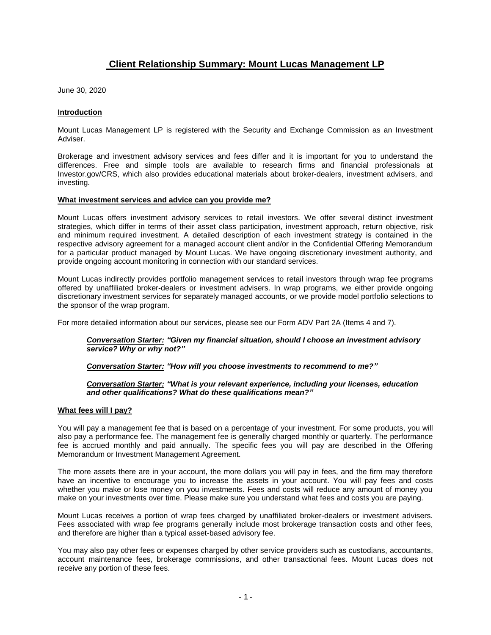# **Client Relationship Summary: Mount Lucas Management LP**

June 30, 2020

# **Introduction**

Mount Lucas Management LP is registered with the Security and Exchange Commission as an Investment Adviser.

Brokerage and investment advisory services and fees differ and it is important for you to understand the differences. Free and simple tools are available to research firms and financial professionals at Investor.gov/CRS, which also provides educational materials about broker-dealers, investment advisers, and investing.

## **What investment services and advice can you provide me?**

Mount Lucas offers investment advisory services to retail investors. We offer several distinct investment strategies, which differ in terms of their asset class participation, investment approach, return objective, risk and minimum required investment. A detailed description of each investment strategy is contained in the respective advisory agreement for a managed account client and/or in the Confidential Offering Memorandum for a particular product managed by Mount Lucas. We have ongoing discretionary investment authority, and provide ongoing account monitoring in connection with our standard services.

Mount Lucas indirectly provides portfolio management services to retail investors through wrap fee programs offered by unaffiliated broker-dealers or investment advisers. In wrap programs, we either provide ongoing discretionary investment services for separately managed accounts, or we provide model portfolio selections to the sponsor of the wrap program.

For more detailed information about our services, please see our Form ADV Part 2A (Items 4 and 7).

## *Conversation Starter: "Given my financial situation, should I choose an investment advisory service? Why or why not?"*

# *Conversation Starter: "How will you choose investments to recommend to me?"*

## *Conversation Starter: "What is your relevant experience, including your licenses, education and other qualifications? What do these qualifications mean?"*

## **What fees will I pay?**

You will pay a management fee that is based on a percentage of your investment. For some products, you will also pay a performance fee. The management fee is generally charged monthly or quarterly. The performance fee is accrued monthly and paid annually. The specific fees you will pay are described in the Offering Memorandum or Investment Management Agreement.

The more assets there are in your account, the more dollars you will pay in fees, and the firm may therefore have an incentive to encourage you to increase the assets in your account. You will pay fees and costs whether you make or lose money on you investments. Fees and costs will reduce any amount of money you make on your investments over time. Please make sure you understand what fees and costs you are paying.

Mount Lucas receives a portion of wrap fees charged by unaffiliated broker-dealers or investment advisers. Fees associated with wrap fee programs generally include most brokerage transaction costs and other fees, and therefore are higher than a typical asset-based advisory fee.

You may also pay other fees or expenses charged by other service providers such as custodians, accountants, account maintenance fees, brokerage commissions, and other transactional fees. Mount Lucas does not receive any portion of these fees.